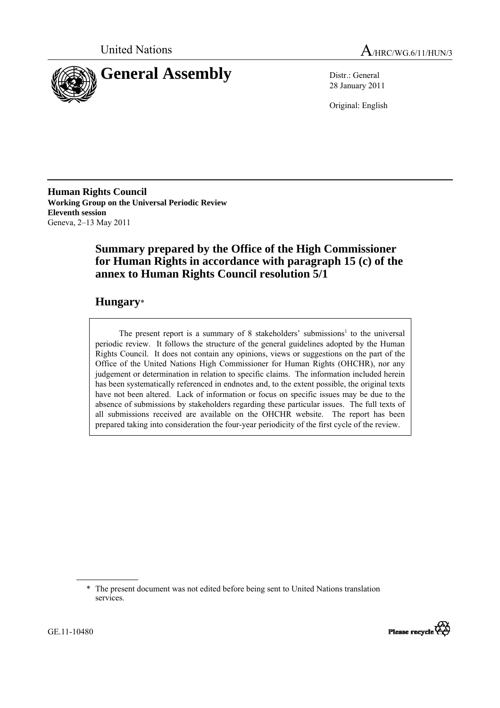



28 January 2011

Original: English

**Human Rights Council Working Group on the Universal Periodic Review Eleventh session**  Geneva, 2–13 May 2011

# **Summary prepared by the Office of the High Commissioner for Human Rights in accordance with paragraph 15 (c) of the annex to Human Rights Council resolution 5/1**

# **Hungary**\*

The present report is a summary of 8 stakeholders' submissions<sup>1</sup> to the universal periodic review. It follows the structure of the general guidelines adopted by the Human Rights Council. It does not contain any opinions, views or suggestions on the part of the Office of the United Nations High Commissioner for Human Rights (OHCHR), nor any judgement or determination in relation to specific claims. The information included herein has been systematically referenced in endnotes and, to the extent possible, the original texts have not been altered. Lack of information or focus on specific issues may be due to the absence of submissions by stakeholders regarding these particular issues. The full texts of all submissions received are available on the OHCHR website. The report has been prepared taking into consideration the four-year periodicity of the first cycle of the review.

<sup>\*</sup> The present document was not edited before being sent to United Nations translation services.

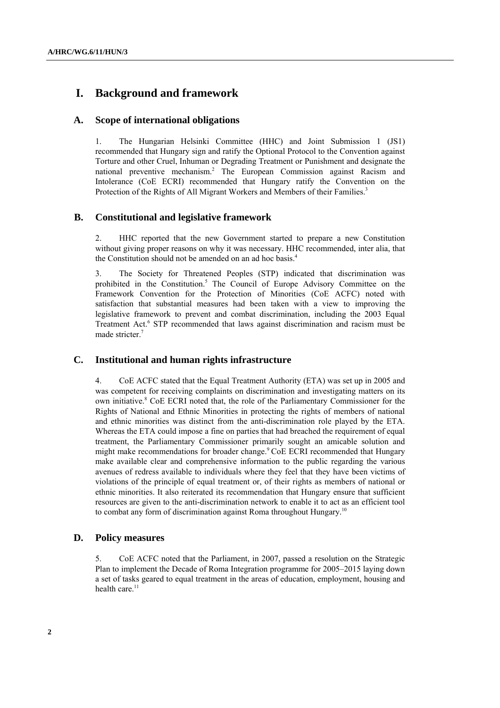# **I. Background and framework**

### **A. Scope of international obligations**

1. The Hungarian Helsinki Committee (HHC) and Joint Submission 1 (JS1) recommended that Hungary sign and ratify the Optional Protocol to the Convention against Torture and other Cruel, Inhuman or Degrading Treatment or Punishment and designate the national preventive mechanism.<sup>2</sup> The European Commission against Racism and Intolerance (CoE ECRI) recommended that Hungary ratify the Convention on the Protection of the Rights of All Migrant Workers and Members of their Families.<sup>3</sup>

### **B. Constitutional and legislative framework**

2. HHC reported that the new Government started to prepare a new Constitution without giving proper reasons on why it was necessary. HHC recommended, inter alia, that the Constitution should not be amended on an ad hoc basis.4

3. The Society for Threatened Peoples (STP) indicated that discrimination was prohibited in the Constitution.<sup>5</sup> The Council of Europe Advisory Committee on the Framework Convention for the Protection of Minorities (CoE ACFC) noted with satisfaction that substantial measures had been taken with a view to improving the legislative framework to prevent and combat discrimination, including the 2003 Equal Treatment Act.<sup>6</sup> STP recommended that laws against discrimination and racism must be made stricter.<sup>7</sup>

### **C. Institutional and human rights infrastructure**

4. CoE ACFC stated that the Equal Treatment Authority (ETA) was set up in 2005 and was competent for receiving complaints on discrimination and investigating matters on its own initiative.<sup>8</sup> CoE ECRI noted that, the role of the Parliamentary Commissioner for the Rights of National and Ethnic Minorities in protecting the rights of members of national and ethnic minorities was distinct from the anti-discrimination role played by the ETA. Whereas the ETA could impose a fine on parties that had breached the requirement of equal treatment, the Parliamentary Commissioner primarily sought an amicable solution and might make recommendations for broader change.<sup>9</sup> CoE ECRI recommended that Hungary make available clear and comprehensive information to the public regarding the various avenues of redress available to individuals where they feel that they have been victims of violations of the principle of equal treatment or, of their rights as members of national or ethnic minorities. It also reiterated its recommendation that Hungary ensure that sufficient resources are given to the anti-discrimination network to enable it to act as an efficient tool to combat any form of discrimination against Roma throughout Hungary.10

### **D. Policy measures**

5. CoE ACFC noted that the Parliament, in 2007, passed a resolution on the Strategic Plan to implement the Decade of Roma Integration programme for 2005–2015 laying down a set of tasks geared to equal treatment in the areas of education, employment, housing and health care.<sup>11</sup>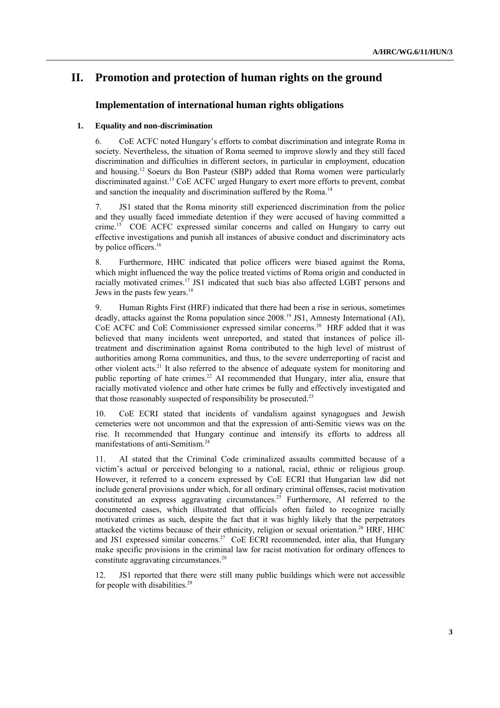# **II. Promotion and protection of human rights on the ground**

## **Implementation of international human rights obligations**

### **1. Equality and non-discrimination**

6. CoE ACFC noted Hungary's efforts to combat discrimination and integrate Roma in society. Nevertheless, the situation of Roma seemed to improve slowly and they still faced discrimination and difficulties in different sectors, in particular in employment, education and housing.12 Soeurs du Bon Pasteur (SBP) added that Roma women were particularly discriminated against.13 CoE ACFC urged Hungary to exert more efforts to prevent, combat and sanction the inequality and discrimination suffered by the Roma.<sup>14</sup>

7. JS1 stated that the Roma minority still experienced discrimination from the police and they usually faced immediate detention if they were accused of having committed a crime.15 COE ACFC expressed similar concerns and called on Hungary to carry out effective investigations and punish all instances of abusive conduct and discriminatory acts by police officers.<sup>16</sup>

8. Furthermore, HHC indicated that police officers were biased against the Roma, which might influenced the way the police treated victims of Roma origin and conducted in racially motivated crimes.17 JS1 indicated that such bias also affected LGBT persons and Jews in the pasts few years.<sup>18</sup>

9. Human Rights First (HRF) indicated that there had been a rise in serious, sometimes deadly, attacks against the Roma population since 2008.<sup>19</sup> JS1, Amnesty International (AI), CoE ACFC and CoE Commissioner expressed similar concerns.20 HRF added that it was believed that many incidents went unreported, and stated that instances of police illtreatment and discrimination against Roma contributed to the high level of mistrust of authorities among Roma communities, and thus, to the severe underreporting of racist and other violent acts.21 It also referred to the absence of adequate system for monitoring and public reporting of hate crimes.<sup>22</sup> AI recommended that Hungary, inter alia, ensure that racially motivated violence and other hate crimes be fully and effectively investigated and that those reasonably suspected of responsibility be prosecuted.<sup>23</sup>

10. CoE ECRI stated that incidents of vandalism against synagogues and Jewish cemeteries were not uncommon and that the expression of anti-Semitic views was on the rise. It recommended that Hungary continue and intensify its efforts to address all manifestations of anti-Semitism.<sup>24</sup>

11. AI stated that the Criminal Code criminalized assaults committed because of a victim's actual or perceived belonging to a national, racial, ethnic or religious group. However, it referred to a concern expressed by CoE ECRI that Hungarian law did not include general provisions under which, for all ordinary criminal offenses, racist motivation constituted an express aggravating circumstances.<sup>25</sup> Furthermore, AI referred to the documented cases, which illustrated that officials often failed to recognize racially motivated crimes as such, despite the fact that it was highly likely that the perpetrators attacked the victims because of their ethnicity, religion or sexual orientation.26 HRF, HHC and JS1 expressed similar concerns.<sup>27</sup> CoE ECRI recommended, inter alia, that Hungary make specific provisions in the criminal law for racist motivation for ordinary offences to constitute aggravating circumstances.<sup>28</sup>

12. JS1 reported that there were still many public buildings which were not accessible for people with disabilities.<sup>29</sup>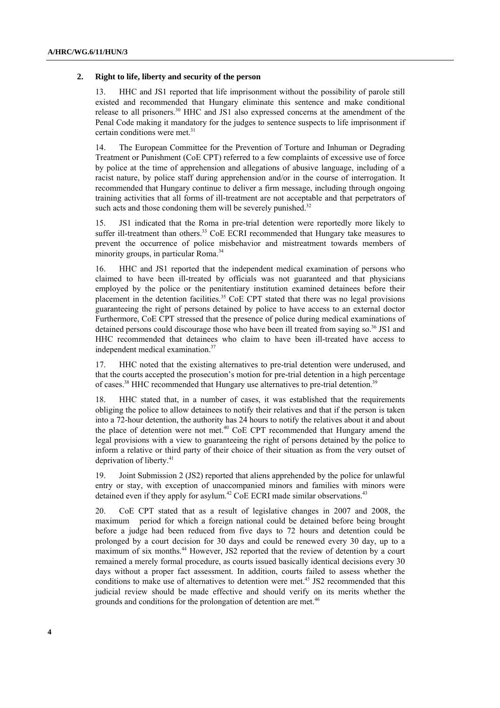#### **2. Right to life, liberty and security of the person**

13. HHC and JS1 reported that life imprisonment without the possibility of parole still existed and recommended that Hungary eliminate this sentence and make conditional release to all prisoners.30 HHC and JS1 also expressed concerns at the amendment of the Penal Code making it mandatory for the judges to sentence suspects to life imprisonment if certain conditions were met.<sup>31</sup>

14. The European Committee for the Prevention of Torture and Inhuman or Degrading Treatment or Punishment (CoE CPT) referred to a few complaints of excessive use of force by police at the time of apprehension and allegations of abusive language, including of a racist nature, by police staff during apprehension and/or in the course of interrogation. It recommended that Hungary continue to deliver a firm message, including through ongoing training activities that all forms of ill-treatment are not acceptable and that perpetrators of such acts and those condoning them will be severely punished.<sup>32</sup>

15. JS1 indicated that the Roma in pre-trial detention were reportedly more likely to suffer ill-treatment than others.<sup>33</sup> CoE ECRI recommended that Hungary take measures to prevent the occurrence of police misbehavior and mistreatment towards members of minority groups, in particular Roma.<sup>34</sup>

16. HHC and JS1 reported that the independent medical examination of persons who claimed to have been ill-treated by officials was not guaranteed and that physicians employed by the police or the penitentiary institution examined detainees before their placement in the detention facilities.<sup>35</sup> CoE CPT stated that there was no legal provisions guaranteeing the right of persons detained by police to have access to an external doctor Furthermore, CoE CPT stressed that the presence of police during medical examinations of detained persons could discourage those who have been ill treated from saying so. $36$  JS1 and HHC recommended that detainees who claim to have been ill-treated have access to independent medical examination.<sup>37</sup>

17. HHC noted that the existing alternatives to pre-trial detention were underused, and that the courts accepted the prosecution's motion for pre-trial detention in a high percentage of cases.38 HHC recommended that Hungary use alternatives to pre-trial detention.39

18. HHC stated that, in a number of cases, it was established that the requirements obliging the police to allow detainees to notify their relatives and that if the person is taken into a 72-hour detention, the authority has 24 hours to notify the relatives about it and about the place of detention were not met.<sup>40</sup> CoE CPT recommended that Hungary amend the legal provisions with a view to guaranteeing the right of persons detained by the police to inform a relative or third party of their choice of their situation as from the very outset of deprivation of liberty.<sup>41</sup>

19. Joint Submission 2 (JS2) reported that aliens apprehended by the police for unlawful entry or stay, with exception of unaccompanied minors and families with minors were detained even if they apply for asylum.<sup>42</sup> CoE ECRI made similar observations.<sup>43</sup>

20. CoE CPT stated that as a result of legislative changes in 2007 and 2008, the maximum period for which a foreign national could be detained before being brought before a judge had been reduced from five days to 72 hours and detention could be prolonged by a court decision for 30 days and could be renewed every 30 day, up to a maximum of six months.<sup>44</sup> However, JS2 reported that the review of detention by a court remained a merely formal procedure, as courts issued basically identical decisions every 30 days without a proper fact assessment. In addition, courts failed to assess whether the conditions to make use of alternatives to detention were met.<sup>45</sup> JS2 recommended that this judicial review should be made effective and should verify on its merits whether the grounds and conditions for the prolongation of detention are met.<sup>46</sup>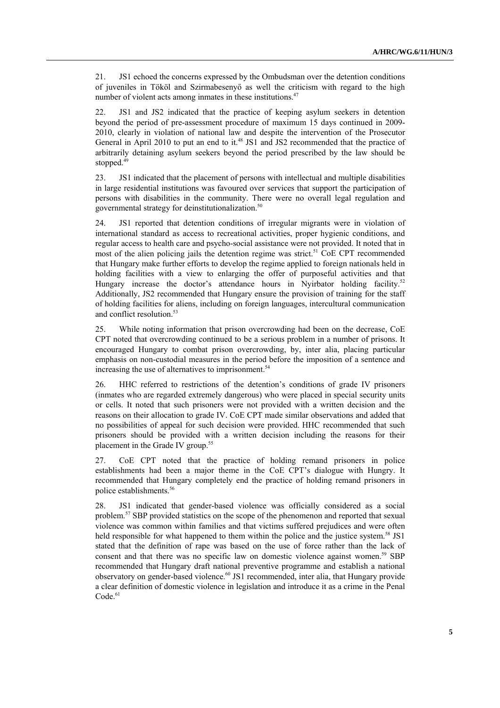21. JS1 echoed the concerns expressed by the Ombudsman over the detention conditions of juveniles in Tököl and Szirmabesenyő as well the criticism with regard to the high number of violent acts among inmates in these institutions.<sup>47</sup>

22. JS1 and JS2 indicated that the practice of keeping asylum seekers in detention beyond the period of pre-assessment procedure of maximum 15 days continued in 2009- 2010, clearly in violation of national law and despite the intervention of the Prosecutor General in April 2010 to put an end to it.<sup>48</sup> JS1 and JS2 recommended that the practice of arbitrarily detaining asylum seekers beyond the period prescribed by the law should be stopped.<sup>49</sup>

23. JS1 indicated that the placement of persons with intellectual and multiple disabilities in large residential institutions was favoured over services that support the participation of persons with disabilities in the community. There were no overall legal regulation and governmental strategy for deinstitutionalization.<sup>50</sup>

24. JS1 reported that detention conditions of irregular migrants were in violation of international standard as access to recreational activities, proper hygienic conditions, and regular access to health care and psycho-social assistance were not provided. It noted that in most of the alien policing jails the detention regime was strict.<sup>51</sup> CoE CPT recommended that Hungary make further efforts to develop the regime applied to foreign nationals held in holding facilities with a view to enlarging the offer of purposeful activities and that Hungary increase the doctor's attendance hours in Nyirbator holding facility.<sup>52</sup> Additionally, JS2 recommended that Hungary ensure the provision of training for the staff of holding facilities for aliens, including on foreign languages, intercultural communication and conflict resolution.<sup>53</sup>

25. While noting information that prison overcrowding had been on the decrease, CoE CPT noted that overcrowding continued to be a serious problem in a number of prisons. It encouraged Hungary to combat prison overcrowding, by, inter alia, placing particular emphasis on non-custodial measures in the period before the imposition of a sentence and increasing the use of alternatives to imprisonment.<sup>54</sup>

26. HHC referred to restrictions of the detention's conditions of grade IV prisoners (inmates who are regarded extremely dangerous) who were placed in special security units or cells. It noted that such prisoners were not provided with a written decision and the reasons on their allocation to grade IV. CoE CPT made similar observations and added that no possibilities of appeal for such decision were provided. HHC recommended that such prisoners should be provided with a written decision including the reasons for their placement in the Grade IV group.<sup>55</sup>

27. CoE CPT noted that the practice of holding remand prisoners in police establishments had been a major theme in the CoE CPT's dialogue with Hungry. It recommended that Hungary completely end the practice of holding remand prisoners in police establishments.<sup>56</sup>

28. JS1 indicated that gender-based violence was officially considered as a social problem.57 SBP provided statistics on the scope of the phenomenon and reported that sexual violence was common within families and that victims suffered prejudices and were often held responsible for what happened to them within the police and the justice system.<sup>58</sup> JS1 stated that the definition of rape was based on the use of force rather than the lack of consent and that there was no specific law on domestic violence against women.<sup>59</sup> SBP recommended that Hungary draft national preventive programme and establish a national observatory on gender-based violence.<sup>60</sup> JS1 recommended, inter alia, that Hungary provide a clear definition of domestic violence in legislation and introduce it as a crime in the Penal  $Code.<sup>61</sup>$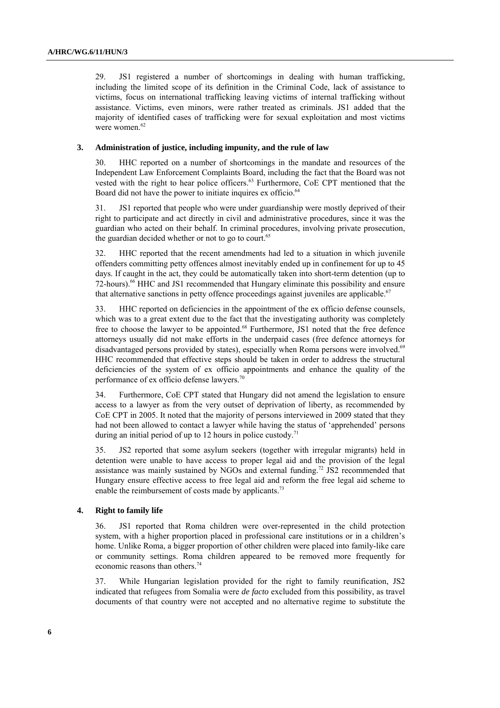29. JS1 registered a number of shortcomings in dealing with human trafficking, including the limited scope of its definition in the Criminal Code, lack of assistance to victims, focus on international trafficking leaving victims of internal trafficking without assistance. Victims, even minors, were rather treated as criminals. JS1 added that the majority of identified cases of trafficking were for sexual exploitation and most victims were women $62$ 

#### **3. Administration of justice, including impunity, and the rule of law**

30. HHC reported on a number of shortcomings in the mandate and resources of the Independent Law Enforcement Complaints Board, including the fact that the Board was not vested with the right to hear police officers.<sup>63</sup> Furthermore, CoE CPT mentioned that the Board did not have the power to initiate inquires ex officio.<sup>64</sup>

31. JS1 reported that people who were under guardianship were mostly deprived of their right to participate and act directly in civil and administrative procedures, since it was the guardian who acted on their behalf. In criminal procedures, involving private prosecution, the guardian decided whether or not to go to court.<sup>65</sup>

32. HHC reported that the recent amendments had led to a situation in which juvenile offenders committing petty offences almost inevitably ended up in confinement for up to 45 days. If caught in the act, they could be automatically taken into short-term detention (up to 72-hours).<sup>66</sup> HHC and JS1 recommended that Hungary eliminate this possibility and ensure that alternative sanctions in petty offence proceedings against juveniles are applicable.<sup>67</sup>

33. HHC reported on deficiencies in the appointment of the ex officio defense counsels, which was to a great extent due to the fact that the investigating authority was completely free to choose the lawyer to be appointed.<sup>68</sup> Furthermore, JS1 noted that the free defence attorneys usually did not make efforts in the underpaid cases (free defence attorneys for disadvantaged persons provided by states), especially when Roma persons were involved.<sup>69</sup> HHC recommended that effective steps should be taken in order to address the structural deficiencies of the system of ex officio appointments and enhance the quality of the performance of ex officio defense lawyers.<sup>70</sup>

34. Furthermore, CoE CPT stated that Hungary did not amend the legislation to ensure access to a lawyer as from the very outset of deprivation of liberty, as recommended by CoE CPT in 2005. It noted that the majority of persons interviewed in 2009 stated that they had not been allowed to contact a lawyer while having the status of 'apprehended' persons during an initial period of up to 12 hours in police custody.<sup>71</sup>

35. JS2 reported that some asylum seekers (together with irregular migrants) held in detention were unable to have access to proper legal aid and the provision of the legal assistance was mainly sustained by NGOs and external funding.72 JS2 recommended that Hungary ensure effective access to free legal aid and reform the free legal aid scheme to enable the reimbursement of costs made by applicants.<sup>73</sup>

#### **4. Right to family life**

36. JS1 reported that Roma children were over-represented in the child protection system, with a higher proportion placed in professional care institutions or in a children's home. Unlike Roma, a bigger proportion of other children were placed into family-like care or community settings. Roma children appeared to be removed more frequently for economic reasons than others.<sup>74</sup>

37. While Hungarian legislation provided for the right to family reunification, JS2 indicated that refugees from Somalia were *de facto* excluded from this possibility, as travel documents of that country were not accepted and no alternative regime to substitute the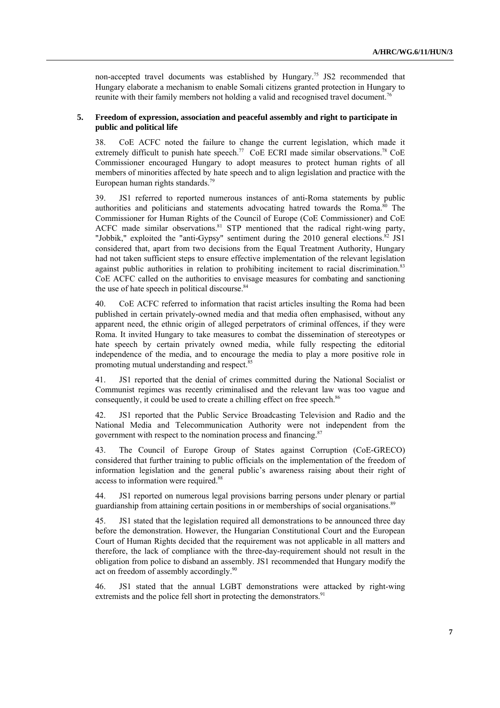non-accepted travel documents was established by Hungary.<sup>75</sup> JS2 recommended that Hungary elaborate a mechanism to enable Somali citizens granted protection in Hungary to reunite with their family members not holding a valid and recognised travel document.<sup>76</sup>

### **5. Freedom of expression, association and peaceful assembly and right to participate in public and political life**

38. CoE ACFC noted the failure to change the current legislation, which made it extremely difficult to punish hate speech.<sup>77</sup> CoE ECRI made similar observations.<sup>78</sup> CoE Commissioner encouraged Hungary to adopt measures to protect human rights of all members of minorities affected by hate speech and to align legislation and practice with the European human rights standards.<sup>79</sup>

39. JS1 referred to reported numerous instances of anti-Roma statements by public authorities and politicians and statements advocating hatred towards the Roma.<sup>80</sup> The Commissioner for Human Rights of the Council of Europe (CoE Commissioner) and CoE ACFC made similar observations.<sup>81</sup> STP mentioned that the radical right-wing party, "Jobbik," exploited the "anti-Gypsy" sentiment during the  $2010$  general elections.<sup>82</sup> JS1 considered that, apart from two decisions from the Equal Treatment Authority, Hungary had not taken sufficient steps to ensure effective implementation of the relevant legislation against public authorities in relation to prohibiting incitement to racial discrimination.<sup>83</sup> CoE ACFC called on the authorities to envisage measures for combating and sanctioning the use of hate speech in political discourse.<sup>84</sup>

40. CoE ACFC referred to information that racist articles insulting the Roma had been published in certain privately-owned media and that media often emphasised, without any apparent need, the ethnic origin of alleged perpetrators of criminal offences, if they were Roma. It invited Hungary to take measures to combat the dissemination of stereotypes or hate speech by certain privately owned media, while fully respecting the editorial independence of the media, and to encourage the media to play a more positive role in promoting mutual understanding and respect.<sup>8</sup>

41. JS1 reported that the denial of crimes committed during the National Socialist or Communist regimes was recently criminalised and the relevant law was too vague and consequently, it could be used to create a chilling effect on free speech.<sup>86</sup>

42. JS1 reported that the Public Service Broadcasting Television and Radio and the National Media and Telecommunication Authority were not independent from the government with respect to the nomination process and financing.<sup>87</sup>

43. The Council of Europe Group of States against Corruption (CoE-GRECO) considered that further training to public officials on the implementation of the freedom of information legislation and the general public's awareness raising about their right of access to information were required.88

44. JS1 reported on numerous legal provisions barring persons under plenary or partial guardianship from attaining certain positions in or memberships of social organisations.<sup>89</sup>

45. JS1 stated that the legislation required all demonstrations to be announced three day before the demonstration. However, the Hungarian Constitutional Court and the European Court of Human Rights decided that the requirement was not applicable in all matters and therefore, the lack of compliance with the three-day-requirement should not result in the obligation from police to disband an assembly. JS1 recommended that Hungary modify the act on freedom of assembly accordingly.<sup>90</sup>

46. JS1 stated that the annual LGBT demonstrations were attacked by right-wing extremists and the police fell short in protecting the demonstrators.<sup>91</sup>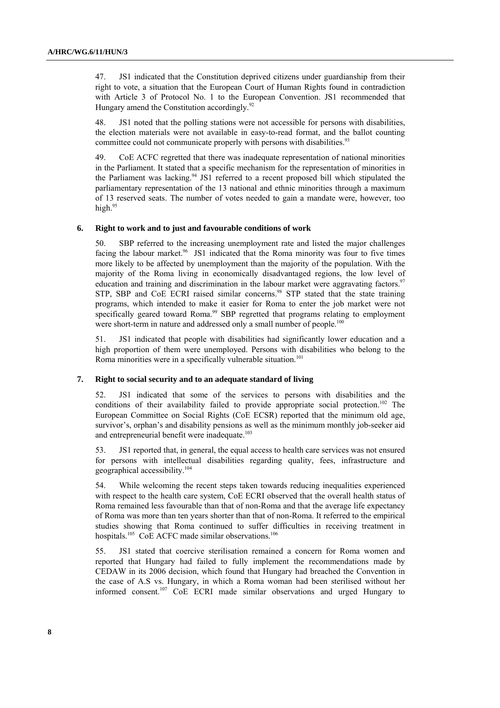47. JS1 indicated that the Constitution deprived citizens under guardianship from their right to vote, a situation that the European Court of Human Rights found in contradiction with Article 3 of Protocol No. 1 to the European Convention. JS1 recommended that Hungary amend the Constitution accordingly.<sup>92</sup>

48. JS1 noted that the polling stations were not accessible for persons with disabilities, the election materials were not available in easy-to-read format, and the ballot counting committee could not communicate properly with persons with disabilities.<sup>93</sup>

49. CoE ACFC regretted that there was inadequate representation of national minorities in the Parliament. It stated that a specific mechanism for the representation of minorities in the Parliament was lacking.<sup>94</sup> JS1 referred to a recent proposed bill which stipulated the parliamentary representation of the 13 national and ethnic minorities through a maximum of 13 reserved seats. The number of votes needed to gain a mandate were, however, too high.<sup>95</sup>

#### **6. Right to work and to just and favourable conditions of work**

50. SBP referred to the increasing unemployment rate and listed the major challenges facing the labour market.<sup>96</sup> JS1 indicated that the Roma minority was four to five times more likely to be affected by unemployment than the majority of the population. With the majority of the Roma living in economically disadvantaged regions, the low level of education and training and discrimination in the labour market were aggravating factors.<sup>97</sup> STP, SBP and CoE ECRI raised similar concerns.<sup>98</sup> STP stated that the state training programs, which intended to make it easier for Roma to enter the job market were not specifically geared toward Roma.<sup>99</sup> SBP regretted that programs relating to employment were short-term in nature and addressed only a small number of people.<sup>100</sup>

51. JS1 indicated that people with disabilities had significantly lower education and a high proportion of them were unemployed. Persons with disabilities who belong to the Roma minorities were in a specifically vulnerable situation.<sup>101</sup>

#### **7. Right to social security and to an adequate standard of living**

52. JS1 indicated that some of the services to persons with disabilities and the conditions of their availability failed to provide appropriate social protection.<sup>102</sup> The European Committee on Social Rights (CoE ECSR) reported that the minimum old age, survivor's, orphan's and disability pensions as well as the minimum monthly job-seeker aid and entrepreneurial benefit were inadequate.<sup>103</sup>

53. JS1 reported that, in general, the equal access to health care services was not ensured for persons with intellectual disabilities regarding quality, fees, infrastructure and geographical accessibility.104

54. While welcoming the recent steps taken towards reducing inequalities experienced with respect to the health care system, CoE ECRI observed that the overall health status of Roma remained less favourable than that of non-Roma and that the average life expectancy of Roma was more than ten years shorter than that of non-Roma. It referred to the empirical studies showing that Roma continued to suffer difficulties in receiving treatment in hospitals.<sup>105</sup> CoE ACFC made similar observations.<sup>106</sup>

55. JS1 stated that coercive sterilisation remained a concern for Roma women and reported that Hungary had failed to fully implement the recommendations made by CEDAW in its 2006 decision, which found that Hungary had breached the Convention in the case of A.S vs. Hungary, in which a Roma woman had been sterilised without her informed consent.107 CoE ECRI made similar observations and urged Hungary to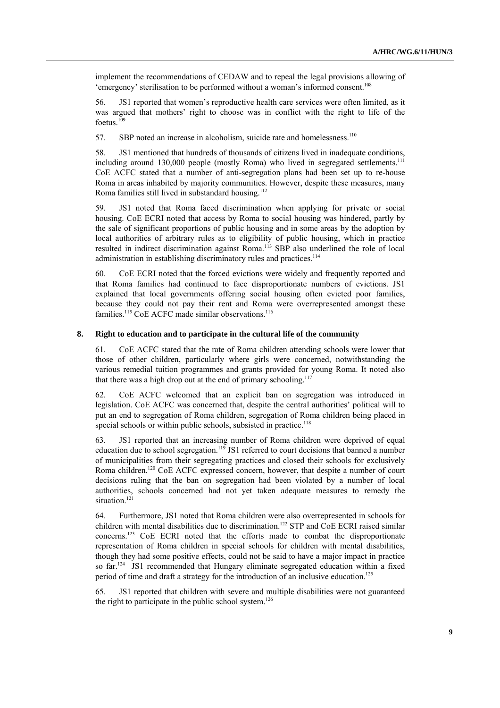implement the recommendations of CEDAW and to repeal the legal provisions allowing of 'emergency' sterilisation to be performed without a woman's informed consent.<sup>108</sup>

56. JS1 reported that women's reproductive health care services were often limited, as it was argued that mothers' right to choose was in conflict with the right to life of the foetus.<sup>109</sup>

57. SBP noted an increase in alcoholism, suicide rate and homelessness.<sup>110</sup>

58. JS1 mentioned that hundreds of thousands of citizens lived in inadequate conditions, including around 130,000 people (mostly Roma) who lived in segregated settlements.<sup>111</sup> CoE ACFC stated that a number of anti-segregation plans had been set up to re-house Roma in areas inhabited by majority communities. However, despite these measures, many Roma families still lived in substandard housing.<sup>112</sup>

59. JS1 noted that Roma faced discrimination when applying for private or social housing. CoE ECRI noted that access by Roma to social housing was hindered, partly by the sale of significant proportions of public housing and in some areas by the adoption by local authorities of arbitrary rules as to eligibility of public housing, which in practice resulted in indirect discrimination against Roma.113 SBP also underlined the role of local administration in establishing discriminatory rules and practices.<sup>114</sup>

60. CoE ECRI noted that the forced evictions were widely and frequently reported and that Roma families had continued to face disproportionate numbers of evictions. JS1 explained that local governments offering social housing often evicted poor families, because they could not pay their rent and Roma were overrepresented amongst these families.<sup>115</sup> CoE ACFC made similar observations.<sup>116</sup>

#### **8. Right to education and to participate in the cultural life of the community**

61. CoE ACFC stated that the rate of Roma children attending schools were lower that those of other children, particularly where girls were concerned, notwithstanding the various remedial tuition programmes and grants provided for young Roma. It noted also that there was a high drop out at the end of primary schooling.<sup>117</sup>

62. CoE ACFC welcomed that an explicit ban on segregation was introduced in legislation. CoE ACFC was concerned that, despite the central authorities' political will to put an end to segregation of Roma children, segregation of Roma children being placed in special schools or within public schools, subsisted in practice.<sup>118</sup>

63. JS1 reported that an increasing number of Roma children were deprived of equal education due to school segregation.<sup>119</sup> JS1 referred to court decisions that banned a number of municipalities from their segregating practices and closed their schools for exclusively Roma children.120 CoE ACFC expressed concern, however, that despite a number of court decisions ruling that the ban on segregation had been violated by a number of local authorities, schools concerned had not yet taken adequate measures to remedy the situation.<sup>121</sup>

64. Furthermore, JS1 noted that Roma children were also overrepresented in schools for children with mental disabilities due to discrimination.<sup>122</sup> STP and CoE ECRI raised similar concerns.123 CoE ECRI noted that the efforts made to combat the disproportionate representation of Roma children in special schools for children with mental disabilities, though they had some positive effects, could not be said to have a major impact in practice so far.<sup>124</sup> JS1 recommended that Hungary eliminate segregated education within a fixed period of time and draft a strategy for the introduction of an inclusive education.<sup>125</sup>

65. JS1 reported that children with severe and multiple disabilities were not guaranteed the right to participate in the public school system.<sup>126</sup>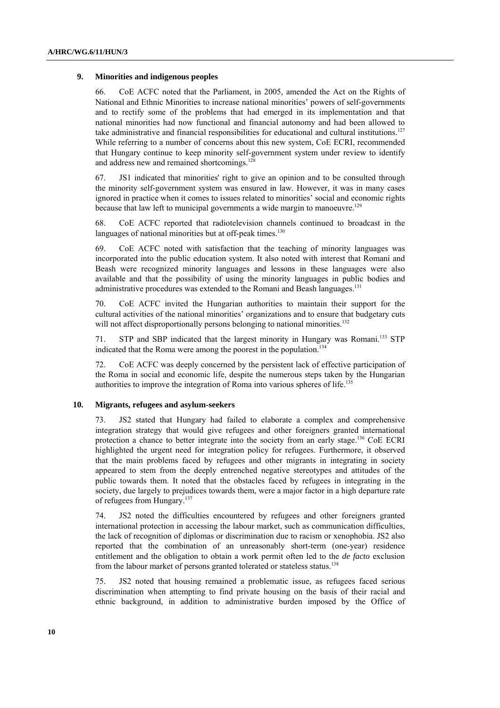#### **9. Minorities and indigenous peoples**

66. CoE ACFC noted that the Parliament, in 2005, amended the Act on the Rights of National and Ethnic Minorities to increase national minorities' powers of self-governments and to rectify some of the problems that had emerged in its implementation and that national minorities had now functional and financial autonomy and had been allowed to take administrative and financial responsibilities for educational and cultural institutions.<sup>127</sup> While referring to a number of concerns about this new system, CoE ECRI, recommended that Hungary continue to keep minority self-government system under review to identify and address new and remained shortcomings.<sup>128</sup>

67. JS1 indicated that minorities' right to give an opinion and to be consulted through the minority self-government system was ensured in law. However, it was in many cases ignored in practice when it comes to issues related to minorities' social and economic rights because that law left to municipal governments a wide margin to manoeuvre.<sup>129</sup>

68. CoE ACFC reported that radiotelevision channels continued to broadcast in the languages of national minorities but at off-peak times.<sup>130</sup>

69. CoE ACFC noted with satisfaction that the teaching of minority languages was incorporated into the public education system. It also noted with interest that Romani and Beash were recognized minority languages and lessons in these languages were also available and that the possibility of using the minority languages in public bodies and administrative procedures was extended to the Romani and Beash languages.<sup>131</sup>

70. CoE ACFC invited the Hungarian authorities to maintain their support for the cultural activities of the national minorities' organizations and to ensure that budgetary cuts will not affect disproportionally persons belonging to national minorities.<sup>132</sup>

71. STP and SBP indicated that the largest minority in Hungary was Romani.133 STP indicated that the Roma were among the poorest in the population.<sup>134</sup>

72. CoE ACFC was deeply concerned by the persistent lack of effective participation of the Roma in social and economic life, despite the numerous steps taken by the Hungarian authorities to improve the integration of Roma into various spheres of life.<sup>135</sup>

#### **10. Migrants, refugees and asylum-seekers**

73. JS2 stated that Hungary had failed to elaborate a complex and comprehensive integration strategy that would give refugees and other foreigners granted international protection a chance to better integrate into the society from an early stage.136 CoE ECRI highlighted the urgent need for integration policy for refugees. Furthermore, it observed that the main problems faced by refugees and other migrants in integrating in society appeared to stem from the deeply entrenched negative stereotypes and attitudes of the public towards them. It noted that the obstacles faced by refugees in integrating in the society, due largely to prejudices towards them, were a major factor in a high departure rate of refugees from Hungary.<sup>137</sup>

74. JS2 noted the difficulties encountered by refugees and other foreigners granted international protection in accessing the labour market, such as communication difficulties, the lack of recognition of diplomas or discrimination due to racism or xenophobia. JS2 also reported that the combination of an unreasonably short-term (one-year) residence entitlement and the obligation to obtain a work permit often led to the *de facto* exclusion from the labour market of persons granted tolerated or stateless status.<sup>138</sup>

75. JS2 noted that housing remained a problematic issue, as refugees faced serious discrimination when attempting to find private housing on the basis of their racial and ethnic background, in addition to administrative burden imposed by the Office of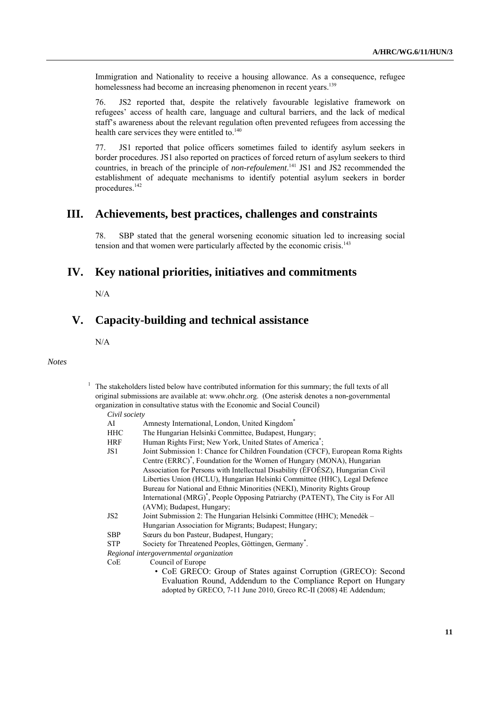Immigration and Nationality to receive a housing allowance. As a consequence, refugee homelessness had become an increasing phenomenon in recent years.<sup>139</sup>

76. JS2 reported that, despite the relatively favourable legislative framework on refugees' access of health care, language and cultural barriers, and the lack of medical staff's awareness about the relevant regulation often prevented refugees from accessing the health care services they were entitled to.<sup>140</sup>

77. JS1 reported that police officers sometimes failed to identify asylum seekers in border procedures. JS1 also reported on practices of forced return of asylum seekers to third countries, in breach of the principle of *non-refoulement*. 141 JS1 and JS2 recommended the establishment of adequate mechanisms to identify potential asylum seekers in border procedures.142

## **III. Achievements, best practices, challenges and constraints**

78. SBP stated that the general worsening economic situation led to increasing social tension and that women were particularly affected by the economic crisis.<sup>143</sup>

## **IV. Key national priorities, initiatives and commitments**

N/A

# **V. Capacity-building and technical assistance**

N/A

1

#### *Notes*

| The stakeholders listed below have contributed information for this summary; the full texts of all |
|----------------------------------------------------------------------------------------------------|
| original submissions are available at: www.ohchr.org. (One asterisk denotes a non-governmental     |
| organization in consultative status with the Economic and Social Council)                          |
| $C_{init}$ contain                                                                                 |

|    | Civil society |
|----|---------------|
| ΛI | Amnacty L     |

| AI         | Amnesty International, London, United Kingdom <sup>®</sup>                                  |
|------------|---------------------------------------------------------------------------------------------|
| HHC        | The Hungarian Helsinki Committee, Budapest, Hungary;                                        |
| HRF        | Human Rights First; New York, United States of America <sup>*</sup> ;                       |
| JS1        | Joint Submission 1: Chance for Children Foundation (CFCF), European Roma Rights             |
|            | Centre (ERRC) <sup>*</sup> , Foundation for the Women of Hungary (MONA), Hungarian          |
|            | Association for Persons with Intellectual Disability (ÉFOÉSZ), Hungarian Civil              |
|            | Liberties Union (HCLU), Hungarian Helsinki Committee (HHC), Legal Defence                   |
|            | Bureau for National and Ethnic Minorities (NEKI), Minority Rights Group                     |
|            | International (MRG) <sup>*</sup> , People Opposing Patriarchy (PATENT), The City is For All |
|            | (AVM); Budapest, Hungary;                                                                   |
| JS2        | Joint Submission 2: The Hungarian Helsinki Committee (HHC); Menedék –                       |
|            | Hungarian Association for Migrants; Budapest; Hungary;                                      |
| <b>SBP</b> | Sœurs du bon Pasteur, Budapest, Hungary;                                                    |
| STP        | Society for Threatened Peoples, Göttingen, Germany <sup>*</sup> .                           |
|            | Regional intergovernmental organization                                                     |
| CoE        | Council of Europe                                                                           |
|            | • CoE GRECO: Group of States against Corruption (GRECO): Second                             |
|            | Evaluation Round. Addendum to the Compliance Report on Hungary                              |

adopted by GRECO, 7-11 June 2010, Greco RC-II (2008) 4E Addendum;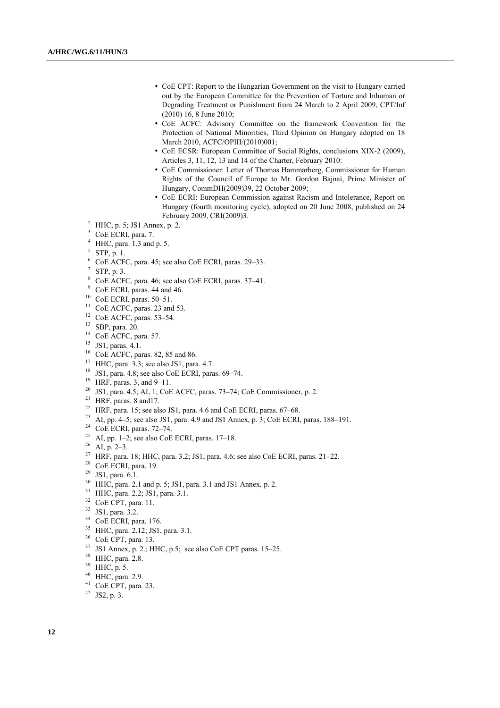- CoE CPT: Report to the Hungarian Government on the visit to Hungary carried out by the European Committee for the Prevention of Torture and Inhuman or Degrading Treatment or Punishment from 24 March to 2 April 2009, CPT/Inf (2010) 16, 8 June 2010;
- CoE ACFC: Advisory Committee on the framework Convention for the Protection of National Minorities, Third Opinion on Hungary adopted on 18 March 2010, ACFC/OPIII/(2010)001;
- CoE ECSR: European Committee of Social Rights, conclusions XIX-2 (2009), Articles 3, 11, 12, 13 and 14 of the Charter, February 2010:
- CoE Commissioner: Letter of Thomas Hammarberg, Commissioner for Human Rights of the Council of Europe to Mr. Gordon Bajnai, Prime Minister of Hungary, CommDH(2009)39, 22 October 2009;
- CoE ECRI: European Commission against Racism and Intolerance, Report on Hungary (fourth monitoring cycle), adopted on 20 June 2008, published on 24 February 2009, CRI(2009)3. 2
- <sup>2</sup> HHC, p. 5; JS1 Annex, p. 2.
- <sup>3</sup> CoE ECRI, para. 7.
- $<sup>4</sup>$  HHC, para. 1.3 and p. 5.</sup>
- $5$  STP, p. 1.
- 6 CoE ACFC, para. 45; see also CoE ECRI, paras. 29–33.
- 7 STP, p. 3.
- 8 CoE ACFC, para. 46; see also CoE ECRI, paras. 37–41.
- <sup>9</sup> CoE ECRI, paras. 44 and 46.
- $10$  CoE ECRI, paras. 50-51.
- <sup>11</sup> CoE ACFC, paras. 23 and 53.
- <sup>12</sup> CoE ACFC, paras. 53-54.
- 13 SBP, para. 20.
- <sup>14</sup> CoE ACFC, para. 57.
- 15 JS1, paras. 4.1.
- 16 CoE ACFC, paras. 82, 85 and 86.
- <sup>17</sup> HHC, para.  $3.3$ ; see also JS1, para. 4.7.
- <sup>18</sup> JS1, para. 4.8; see also CoE ECRI, paras.  $69-74$ .
- 19 HRF, paras. 3, and 9–11.
- <sup>20</sup> JS1, para. 4.5; AI, 1; CoE ACFC, paras. 73–74; CoE Commissioner, p. 2.<br><sup>21</sup> HRF, paras. 8 and17.<br><sup>22</sup> HRF, para. 15; see also JS1, para. 4.6 and CoE ECRI, paras. 67–68.
- 
- 
- <sup>23</sup> AI, pp. 4–5; see also JS1, para. 4.9 and JS1 Annex, p. 3; CoE ECRI, paras. 188–191. CoE ECRI, paras. 72–74.
- 
- <sup>25</sup> AI, pp. 1–2; see also CoE ECRI, paras. 17–18.
- $26$  AI, p. 2–3.
- <sup>27</sup> HRF, para. 18; HHC, para. 3.2; JS1, para. 4.6; see also CoE ECRI, paras. 21–22. <br><sup>28</sup> CoE ECRI, para. 19.
- 
- $29$  JS1, para. 6.1.
- <sup>30</sup> HHC, para. 2.1 and p. 5; JS1, para. 3.1 and JS1 Annex, p. 2.<br><sup>31</sup> HHC, para. 2.2; JS1, para. 3.1.
- 
- 32 CoE CPT, para. 11.
- 33 JS1, para. 3.2.
- 34 CoE ECRI, para. 176.
- 35 HHC, para. 2.12; JS1, para. 3.1.
- 36 CoE CPT, para. 13.
- 37 JS1 Annex, p. 2.; HHC, p.5; see also CoE CPT paras. 15–25.
- <sup>38</sup> HHC, para. 2.8.
- 39 HHC, p. 5.
- 40 HHC, para. 2.9.
- 41 CoE CPT, para. 23.
- 42 JS2, p. 3.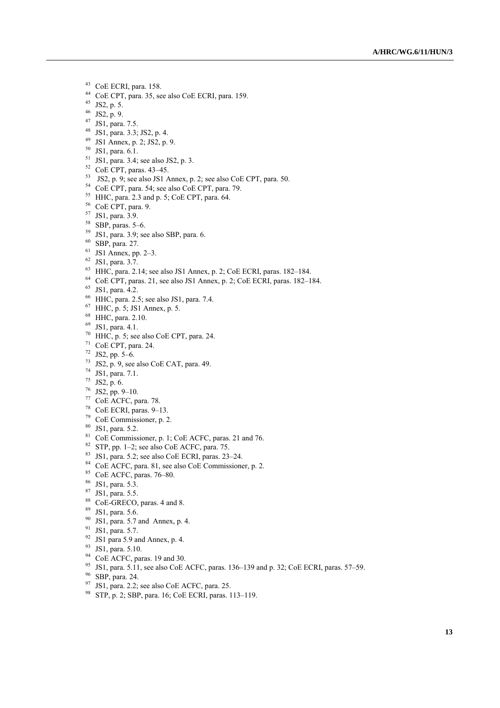- 43 CoE ECRI, para. 158.
- 44 CoE CPT, para. 35, see also CoE ECRI, para. 159.
- 45 JS2, p. 5.
- 46 JS2, p. 9.
- 47 JS1, para. 7.5.
- 48 JS1, para. 3.3; JS2, p. 4.
- 49 JS1 Annex, p. 2; JS2, p. 9. 50 JS1, para. 6.1.
- 
- $51$  JS1, para. 3.4; see also JS2, p. 3.
- $52$  CoE CPT, paras. 43-45.
- $^{53}$  JS2, p. 9; see also JS1 Annex, p. 2; see also CoE CPT, para. 50.  $^{54}$  CoE CPT, para. 54; see also CoE CPT, para. 79.
- 
- 55 HHC, para. 2.3 and p. 5; CoE CPT, para. 64.
- 56 CoE CPT, para. 9.
- 57 JS1, para. 3.9.
- $58$  SBP, paras. 5–6.
- $59$  JS1, para. 3.9; see also SBP, para. 6.
- 60 SBP, para. 27.
- $61$  JS1 Annex, pp. 2–3.
- 62 JS1, para. 3.7.
- 63 HHC, para. 2.14; see also JS1 Annex, p. 2; CoE ECRI, paras. 182–184.
- $^{64}$  CoE CPT, paras. 21, see also JS1 Annex, p. 2; CoE ECRI, paras. 182–184. 65 JS1, para. 4.2.
- 
- $66$  HHC, para. 2.5; see also JS1, para. 7.4.
- 67 HHC, p. 5; JS1 Annex, p. 5.
- 68 HHC, para. 2.10.
- 69 JS1, para. 4.1.
- $70$  HHC, p. 5; see also CoE CPT, para. 24.
- 71 CoE CPT, para. 24.
- 72 JS2, pp. 5–6.
- $73 \text{ JS2}, \text{p. 9}, \text{see also CoE CAT}, \text{para. 49}.$
- 74 JS1, para. 7.1.
- $75$  JS2, p. 6.
- $76$  JS2, pp. 9-10.
- 77 CoE ACFC, para. 78.
- 78 CoE ECRI, paras. 9–13.
- 79 CoE Commissioner, p. 2.
- 80 JS1, para. 5.2.
- 81 CoE Commissioner, p. 1; CoE ACFC, paras. 21 and 76.
- $82$  STP, pp. 1–2; see also CoE ACFC, para. 75.
- $83$  JS1, para. 5.2; see also CoE ECRI, paras. 23–24.
- 84 CoE ACFC, para. 81, see also CoE Commissioner, p. 2.
- 85 CoE ACFC, paras. 76–80.
- 86 JS1, para. 5.3.
- 87 JS1, para. 5.5.
- 88 CoE-GRECO, paras. 4 and 8.
- 89 JS1, para. 5.6.
- $90$  JS1, para. 5.7 and Annex, p. 4.
- 91 JS1, para. 5.7.
- $92$  JS1 para 5.9 and Annex, p. 4.
- 93 JS1, para. 5.10.
- <sup>94</sup> CoE ACFC, paras. 19 and 30.
- <sup>95</sup> JS1, para. 5.11, see also CoE ACFC, paras. 136–139 and p. 32; CoE ECRI, paras. 57–59. SBP, para. 24.
- 
- $97$  JS1, para. 2.2; see also CoE ACFC, para. 25.
- 98 STP, p. 2; SBP, para. 16; CoE ECRI, paras. 113–119.